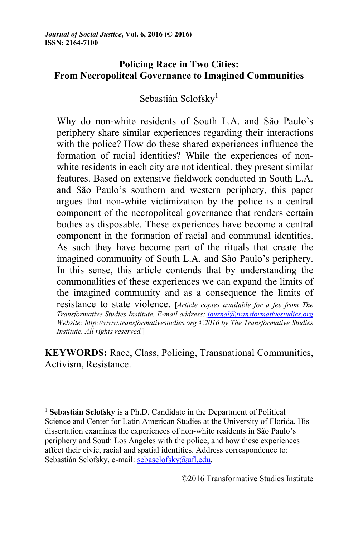*Journal of Social Justice***, Vol. 6, 2016 (© 2016) ISSN: 2164-7100**

# **Policing Race in Two Cities: From Necropolitcal Governance to Imagined Communities**

Sebastián Sclofsky<sup>1</sup>

Why do non-white residents of South L.A. and São Paulo's periphery share similar experiences regarding their interactions with the police? How do these shared experiences influence the formation of racial identities? While the experiences of nonwhite residents in each city are not identical, they present similar features. Based on extensive fieldwork conducted in South L.A. and São Paulo's southern and western periphery, this paper argues that non-white victimization by the police is a central component of the necropolitcal governance that renders certain bodies as disposable. These experiences have become a central component in the formation of racial and communal identities. As such they have become part of the rituals that create the imagined community of South L.A. and São Paulo's periphery. In this sense, this article contends that by understanding the commonalities of these experiences we can expand the limits of the imagined community and as a consequence the limits of resistance to state violence. [*Article copies available for a fee from The Transformative Studies Institute. E-mail address: journal@transformativestudies.org Website: http://www.transformativestudies.org ©2016 by The Transformative Studies Institute. All rights reserved.*]

**KEYWORDS:** Race, Class, Policing, Transnational Communities, Activism, Resistance.

<sup>1</sup> **Sebastián Sclofsky** is a Ph.D. Candidate in the Department of Political Science and Center for Latin American Studies at the University of Florida. His dissertation examines the experiences of non-white residents in São Paulo's periphery and South Los Angeles with the police, and how these experiences affect their civic, racial and spatial identities. Address correspondence to: Sebastián Sclofsky, e-mail: sebasclofsky@ufl.edu.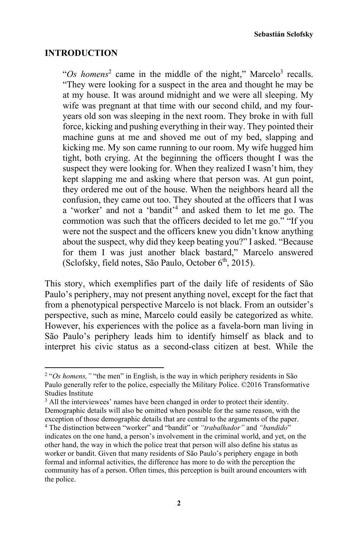**Sebastián Sclofsky** 

### **INTRODUCTION**

" $Os$  homens<sup>2</sup> came in the middle of the night," Marcelo<sup>3</sup> recalls. "They were looking for a suspect in the area and thought he may be at my house. It was around midnight and we were all sleeping. My wife was pregnant at that time with our second child, and my fouryears old son was sleeping in the next room. They broke in with full force, kicking and pushing everything in their way. They pointed their machine guns at me and shoved me out of my bed, slapping and kicking me. My son came running to our room. My wife hugged him tight, both crying. At the beginning the officers thought I was the suspect they were looking for. When they realized I wasn't him, they kept slapping me and asking where that person was. At gun point, they ordered me out of the house. When the neighbors heard all the confusion, they came out too. They shouted at the officers that I was a 'worker' and not a 'bandit'<sup>4</sup> and asked them to let me go. The commotion was such that the officers decided to let me go." "If you were not the suspect and the officers knew you didn't know anything about the suspect, why did they keep beating you?" I asked. "Because for them I was just another black bastard," Marcelo answered (Sclofsky, field notes, São Paulo, October 6<sup>th</sup>, 2015).

This story, which exemplifies part of the daily life of residents of São Paulo's periphery, may not present anything novel, except for the fact that from a phenotypical perspective Marcelo is not black. From an outsider's perspective, such as mine, Marcelo could easily be categorized as white. However, his experiences with the police as a favela-born man living in São Paulo's periphery leads him to identify himself as black and to interpret his civic status as a second-class citizen at best. While the

<sup>&</sup>lt;sup>2</sup> "Os homens," "the men" in English, is the way in which periphery residents in São Paulo generally refer to the police, especially the Military Police. ©2016 Transformative Studies Institute

<sup>&</sup>lt;sup>3</sup> All the interviewees' names have been changed in order to protect their identity. Demographic details will also be omitted when possible for the same reason, with the exception of those demographic details that are central to the arguments of the paper. 4 The distinction between "worker" and "bandit" or *"trabalhador"* and *"bandido*"

indicates on the one hand, a person's involvement in the criminal world, and yet, on the other hand, the way in which the police treat that person will also define his status as worker or bandit. Given that many residents of São Paulo's periphery engage in both formal and informal activities, the difference has more to do with the perception the community has of a person. Often times, this perception is built around encounters with the police.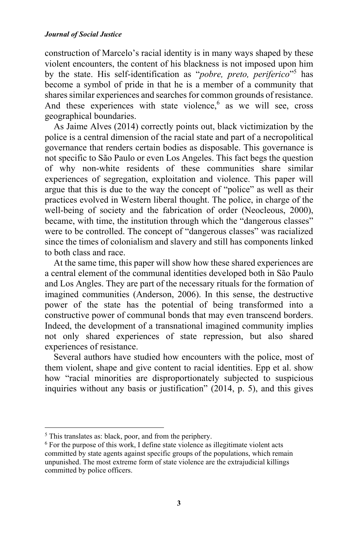construction of Marcelo's racial identity is in many ways shaped by these violent encounters, the content of his blackness is not imposed upon him by the state. His self-identification as "*pobre, preto, periferico*"5 has become a symbol of pride in that he is a member of a community that shares similar experiences and searches for common grounds of resistance. And these experiences with state violence,  $6$  as we will see, cross geographical boundaries.

As Jaime Alves (2014) correctly points out, black victimization by the police is a central dimension of the racial state and part of a necropolitical governance that renders certain bodies as disposable. This governance is not specific to São Paulo or even Los Angeles. This fact begs the question of why non-white residents of these communities share similar experiences of segregation, exploitation and violence. This paper will argue that this is due to the way the concept of "police" as well as their practices evolved in Western liberal thought. The police, in charge of the well-being of society and the fabrication of order (Neocleous, 2000), became, with time, the institution through which the "dangerous classes" were to be controlled. The concept of "dangerous classes" was racialized since the times of colonialism and slavery and still has components linked to both class and race.

At the same time, this paper will show how these shared experiences are a central element of the communal identities developed both in São Paulo and Los Angles. They are part of the necessary rituals for the formation of imagined communities (Anderson, 2006). In this sense, the destructive power of the state has the potential of being transformed into a constructive power of communal bonds that may even transcend borders. Indeed, the development of a transnational imagined community implies not only shared experiences of state repression, but also shared experiences of resistance.

Several authors have studied how encounters with the police, most of them violent, shape and give content to racial identities. Epp et al. show how "racial minorities are disproportionately subjected to suspicious inquiries without any basis or justification" (2014, p. 5), and this gives

<sup>5</sup> This translates as: black, poor, and from the periphery.

<sup>6</sup> For the purpose of this work, I define state violence as illegitimate violent acts committed by state agents against specific groups of the populations, which remain unpunished. The most extreme form of state violence are the extrajudicial killings committed by police officers.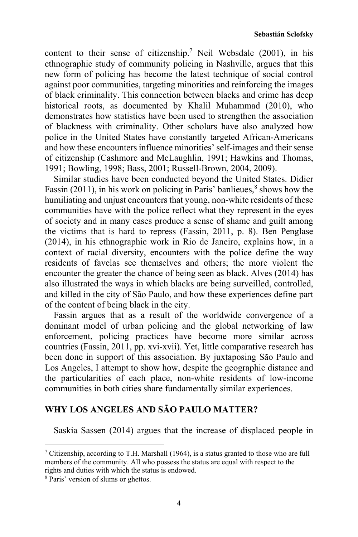content to their sense of citizenship.<sup>7</sup> Neil Websdale (2001), in his ethnographic study of community policing in Nashville, argues that this new form of policing has become the latest technique of social control against poor communities, targeting minorities and reinforcing the images of black criminality. This connection between blacks and crime has deep historical roots, as documented by Khalil Muhammad (2010), who demonstrates how statistics have been used to strengthen the association of blackness with criminality. Other scholars have also analyzed how police in the United States have constantly targeted African-Americans and how these encounters influence minorities' self-images and their sense of citizenship (Cashmore and McLaughlin, 1991; Hawkins and Thomas, 1991; Bowling, 1998; Bass, 2001; Russell-Brown, 2004, 2009).

Similar studies have been conducted beyond the United States. Didier Fassin (2011), in his work on policing in Paris' banlieues, $\delta$  shows how the humiliating and unjust encounters that young, non-white residents of these communities have with the police reflect what they represent in the eyes of society and in many cases produce a sense of shame and guilt among the victims that is hard to repress (Fassin, 2011, p. 8). Ben Penglase (2014), in his ethnographic work in Rio de Janeiro, explains how, in a context of racial diversity, encounters with the police define the way residents of favelas see themselves and others; the more violent the encounter the greater the chance of being seen as black. Alves (2014) has also illustrated the ways in which blacks are being surveilled, controlled, and killed in the city of São Paulo, and how these experiences define part of the content of being black in the city.

Fassin argues that as a result of the worldwide convergence of a dominant model of urban policing and the global networking of law enforcement, policing practices have become more similar across countries (Fassin, 2011, pp. xvi-xvii). Yet, little comparative research has been done in support of this association. By juxtaposing São Paulo and Los Angeles, I attempt to show how, despite the geographic distance and the particularities of each place, non-white residents of low-income communities in both cities share fundamentally similar experiences.

# **WHY LOS ANGELES AND SÃO PAULO MATTER?**

Saskia Sassen (2014) argues that the increase of displaced people in

 $7$  Citizenship, according to T.H. Marshall (1964), is a status granted to those who are full members of the community. All who possess the status are equal with respect to the rights and duties with which the status is endowed. 8 Paris' version of slums or ghettos.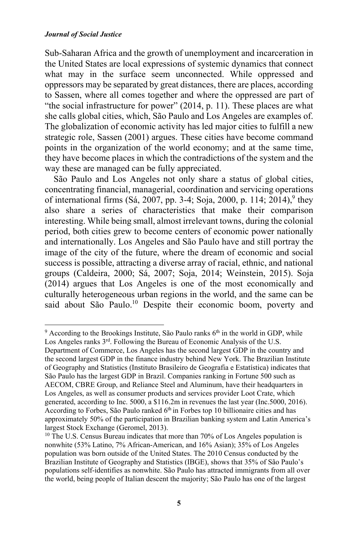Sub-Saharan Africa and the growth of unemployment and incarceration in the United States are local expressions of systemic dynamics that connect what may in the surface seem unconnected. While oppressed and oppressors may be separated by great distances, there are places, according to Sassen, where all comes together and where the oppressed are part of "the social infrastructure for power" (2014, p. 11). These places are what she calls global cities, which, São Paulo and Los Angeles are examples of. The globalization of economic activity has led major cities to fulfill a new strategic role, Sassen (2001) argues. These cities have become command points in the organization of the world economy; and at the same time, they have become places in which the contradictions of the system and the way these are managed can be fully appreciated.

São Paulo and Los Angeles not only share a status of global cities, concentrating financial, managerial, coordination and servicing operations of international firms (Sá, 2007, pp. 3-4; Soja, 2000, p. 114; 2014),<sup>9</sup> they also share a series of characteristics that make their comparison interesting. While being small, almost irrelevant towns, during the colonial period, both cities grew to become centers of economic power nationally and internationally. Los Angeles and São Paulo have and still portray the image of the city of the future, where the dream of economic and social success is possible, attracting a diverse array of racial, ethnic, and national groups (Caldeira, 2000; Sá, 2007; Soja, 2014; Weinstein, 2015). Soja (2014) argues that Los Angeles is one of the most economically and culturally heterogeneous urban regions in the world, and the same can be said about São Paulo.<sup>10</sup> Despite their economic boom, poverty and

  $9$  According to the Brookings Institute, São Paulo ranks  $6<sup>th</sup>$  in the world in GDP, while Los Angeles ranks 3<sup>rd</sup>. Following the Bureau of Economic Analysis of the U.S.

Department of Commerce, Los Angeles has the second largest GDP in the country and the second largest GDP in the finance industry behind New York. The Brazilian Institute of Geography and Statistics (Instituto Brasileiro de Geografia e Estatística) indicates that São Paulo has the largest GDP in Brazil. Companies ranking in Fortune 500 such as AECOM, CBRE Group, and Reliance Steel and Aluminum, have their headquarters in Los Angeles, as well as consumer products and services provider Loot Crate, which generated, according to Inc. 5000, a \$116.2m in revenues the last year (Inc.5000, 2016). According to Forbes, São Paulo ranked 6<sup>th</sup> in Forbes top 10 billionaire cities and has approximately 50% of the participation in Brazilian banking system and Latin America's largest Stock Exchange (Geromel, 2013).

<sup>&</sup>lt;sup>10</sup> The U.S. Census Bureau indicates that more than 70% of Los Angeles population is nonwhite (53% Latino, 7% African-American, and 16% Asian); 35% of Los Angeles population was born outside of the United States. The 2010 Census conducted by the Brazilian Institute of Geography and Statistics (IBGE), shows that 35% of São Paulo's populations self-identifies as nonwhite. São Paulo has attracted immigrants from all over the world, being people of Italian descent the majority; São Paulo has one of the largest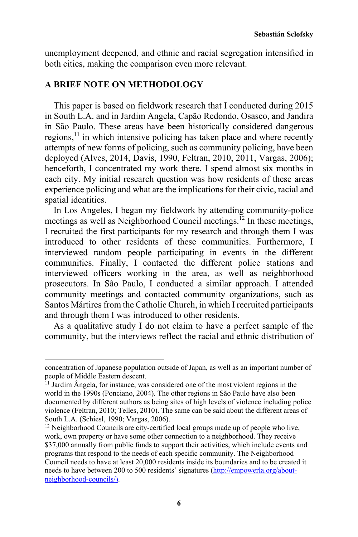unemployment deepened, and ethnic and racial segregation intensified in both cities, making the comparison even more relevant.

## **A BRIEF NOTE ON METHODOLOGY**

<u> 1989 - Johann Stein, fransk politik (d. 1989)</u>

This paper is based on fieldwork research that I conducted during 2015 in South L.A. and in Jardim Angela, Capão Redondo, Osasco, and Jandira in São Paulo. These areas have been historically considered dangerous regions, $11$  in which intensive policing has taken place and where recently attempts of new forms of policing, such as community policing, have been deployed (Alves, 2014, Davis, 1990, Feltran, 2010, 2011, Vargas, 2006); henceforth, I concentrated my work there. I spend almost six months in each city. My initial research question was how residents of these areas experience policing and what are the implications for their civic, racial and spatial identities.

In Los Angeles, I began my fieldwork by attending community-police meetings as well as Neighborhood Council meetings.<sup>12</sup> In these meetings, I recruited the first participants for my research and through them I was introduced to other residents of these communities. Furthermore, I interviewed random people participating in events in the different communities. Finally, I contacted the different police stations and interviewed officers working in the area, as well as neighborhood prosecutors. In São Paulo, I conducted a similar approach. I attended community meetings and contacted community organizations, such as Santos Mártires from the Catholic Church, in which I recruited participants and through them I was introduced to other residents.

As a qualitative study I do not claim to have a perfect sample of the community, but the interviews reflect the racial and ethnic distribution of

concentration of Japanese population outside of Japan, as well as an important number of people of Middle Eastern descent.

 $11$  Jardim Ângela, for instance, was considered one of the most violent regions in the world in the 1990s (Ponciano, 2004). The other regions in São Paulo have also been documented by different authors as being sites of high levels of violence including police violence (Feltran, 2010; Telles, 2010). The same can be said about the different areas of South L.A. (Schiesl, 1990; Vargas, 2006).

<sup>&</sup>lt;sup>12</sup> Neighborhood Councils are city-certified local groups made up of people who live, work, own property or have some other connection to a neighborhood. They receive \$37,000 annually from public funds to support their activities, which include events and programs that respond to the needs of each specific community. The Neighborhood Council needs to have at least 20,000 residents inside its boundaries and to be created it needs to have between 200 to 500 residents' signatures (http://empowerla.org/aboutneighborhood-councils/).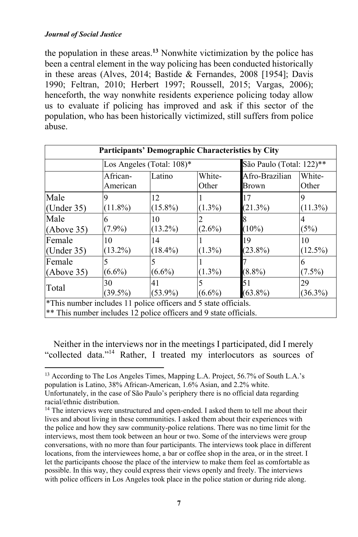the population in these areas.**<sup>13</sup>** Nonwhite victimization by the police has been a central element in the way policing has been conducted historically in these areas (Alves, 2014; Bastide & Fernandes, 2008 [1954]; Davis 1990; Feltran, 2010; Herbert 1997; Roussell, 2015; Vargas, 2006); henceforth, the way nonwhite residents experience policing today allow us to evaluate if policing has improved and ask if this sector of the population, who has been historically victimized, still suffers from police abuse.

| Participants' Demographic Characteristics by City                                                                                    |                           |            |                 |                          |                 |
|--------------------------------------------------------------------------------------------------------------------------------------|---------------------------|------------|-----------------|--------------------------|-----------------|
|                                                                                                                                      | Los Angeles (Total: 108)* |            |                 | São Paulo (Total: 122)** |                 |
|                                                                                                                                      | African-<br>American      | Latino     | White-<br>Other | Afro-Brazilian<br>Brown  | White-<br>Other |
| Male                                                                                                                                 |                           | 12         |                 | 17                       |                 |
| (Under $35$ )                                                                                                                        | $(11.8\%)$                | $(15.8\%)$ | $(1.3\%)$       | (21.3%)                  | $(11.3\%)$      |
| Male                                                                                                                                 |                           | 10         |                 |                          | 4               |
| (Above 35)                                                                                                                           | $(7.9\%)$                 | $(13.2\%)$ | $(2.6\%)$       | $(10\%)$                 | (5%)            |
| Female                                                                                                                               | 10                        | 14         |                 | 19                       | 10              |
| (Under $35$ )                                                                                                                        | $(13.2\%)$                | $(18.4\%)$ | $(1.3\%)$       | $(23.8\%)$               | $(12.5\%)$      |
| Female                                                                                                                               |                           |            |                 |                          | 6               |
| (Above 35)                                                                                                                           | $(6.6\%)$                 | $(6.6\%)$  | $(1.3\%)$       | $(8.8\%)$                | $(7.5\%)$       |
| Total                                                                                                                                | 30                        | 41         |                 | 51                       | 29              |
|                                                                                                                                      | $(39.5\%)$                | $(53.9\%)$ | $(6.6\%)$       | $(63.8\%)$               | $(36.3\%)$      |
| *This number includes 11 police officers and 5 state officials.<br>** This number includes 12 police officers and 9 state officials. |                           |            |                 |                          |                 |

Neither in the interviews nor in the meetings I participated, did I merely "collected data."14 Rather, I treated my interlocutors as sources of

<sup>13</sup> According to The Los Angeles Times, Mapping L.A. Project, 56.7% of South L.A.'s population is Latino, 38% African-American, 1.6% Asian, and 2.2% white. Unfortunately, in the case of São Paulo's periphery there is no official data regarding

<u> 1989 - Johann Stein, fransk politik (d. 1989)</u>

<sup>14</sup> The interviews were unstructured and open-ended. I asked them to tell me about their lives and about living in these communities. I asked them about their experiences with the police and how they saw community-police relations. There was no time limit for the interviews, most them took between an hour or two. Some of the interviews were group conversations, with no more than four participants. The interviews took place in different locations, from the interviewees home, a bar or coffee shop in the area, or in the street. I let the participants choose the place of the interview to make them feel as comfortable as possible. In this way, they could express their views openly and freely. The interviews with police officers in Los Angeles took place in the police station or during ride along.

racial/ethnic distribution.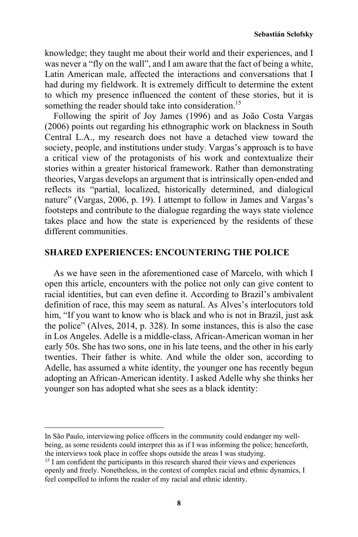knowledge; they taught me about their world and their experiences, and I was never a "fly on the wall", and I am aware that the fact of being a white, Latin American male, affected the interactions and conversations that I had during my fieldwork. It is extremely difficult to determine the extent to which my presence influenced the content of these stories, but it is something the reader should take into consideration.<sup>15</sup>

Following the spirit of Joy James (1996) and as João Costa Vargas (2006) points out regarding his ethnographic work on blackness in South Central L.A., my research does not have a detached view toward the society, people, and institutions under study. Vargas's approach is to have a critical view of the protagonists of his work and contextualize their stories within a greater historical framework. Rather than demonstrating theories, Vargas develops an argument that is intrinsically open-ended and reflects its "partial, localized, historically determined, and dialogical nature" (Vargas, 2006, p. 19). I attempt to follow in James and Vargas's footsteps and contribute to the dialogue regarding the ways state violence takes place and how the state is experienced by the residents of these different communities.

#### **SHARED EXPERIENCES: ENCOUNTERING THE POLICE**

As we have seen in the aforementioned case of Marcelo, with which I open this article, encounters with the police not only can give content to racial identities, but can even define it. According to Brazil's ambivalent definition of race, this may seem as natural. As Alves's interlocutors told him, "If you want to know who is black and who is not in Brazil, just ask the police" (Alves, 2014, p. 328). In some instances, this is also the case in Los Angeles. Adelle is a middle-class, African-American woman in her early 50s. She has two sons, one in his late teens, and the other in his early twenties. Their father is white. And while the older son, according to Adelle, has assumed a white identity, the younger one has recently begun adopting an African-American identity. I asked Adelle why she thinks her younger son has adopted what she sees as a black identity:

In São Paulo, interviewing police officers in the community could endanger my wellbeing, as some residents could interpret this as if I was informing the police; henceforth, the interviews took place in coffee shops outside the areas I was studying.

 $15$  I am confident the participants in this research shared their views and experiences openly and freely. Nonetheless, in the context of complex racial and ethnic dynamics, I feel compelled to inform the reader of my racial and ethnic identity.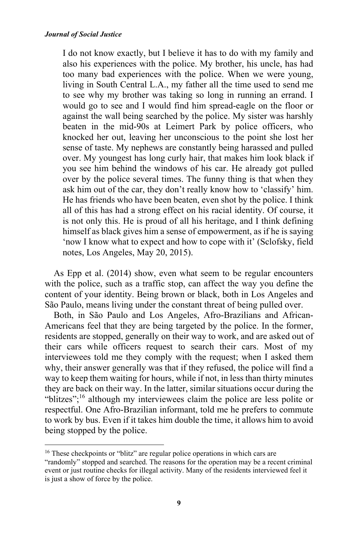I do not know exactly, but I believe it has to do with my family and also his experiences with the police. My brother, his uncle, has had too many bad experiences with the police. When we were young, living in South Central L.A., my father all the time used to send me to see why my brother was taking so long in running an errand. I would go to see and I would find him spread-eagle on the floor or against the wall being searched by the police. My sister was harshly beaten in the mid-90s at Leimert Park by police officers, who knocked her out, leaving her unconscious to the point she lost her sense of taste. My nephews are constantly being harassed and pulled over. My youngest has long curly hair, that makes him look black if you see him behind the windows of his car. He already got pulled over by the police several times. The funny thing is that when they ask him out of the car, they don't really know how to 'classify' him. He has friends who have been beaten, even shot by the police. I think all of this has had a strong effect on his racial identity. Of course, it is not only this. He is proud of all his heritage, and I think defining himself as black gives him a sense of empowerment, as if he is saying 'now I know what to expect and how to cope with it' (Sclofsky, field notes, Los Angeles, May 20, 2015).

As Epp et al. (2014) show, even what seem to be regular encounters with the police, such as a traffic stop, can affect the way you define the content of your identity. Being brown or black, both in Los Angeles and São Paulo, means living under the constant threat of being pulled over.

Both, in São Paulo and Los Angeles, Afro-Brazilians and African-Americans feel that they are being targeted by the police. In the former, residents are stopped, generally on their way to work, and are asked out of their cars while officers request to search their cars. Most of my interviewees told me they comply with the request; when I asked them why, their answer generally was that if they refused, the police will find a way to keep them waiting for hours, while if not, in less than thirty minutes they are back on their way. In the latter, similar situations occur during the "blitzes";16 although my interviewees claim the police are less polite or respectful. One Afro-Brazilian informant, told me he prefers to commute to work by bus. Even if it takes him double the time, it allows him to avoid being stopped by the police.

<sup>&</sup>lt;sup>16</sup> These checkpoints or "blitz" are regular police operations in which cars are "randomly" stopped and searched. The reasons for the operation may be a recent criminal event or just routine checks for illegal activity. Many of the residents interviewed feel it is just a show of force by the police.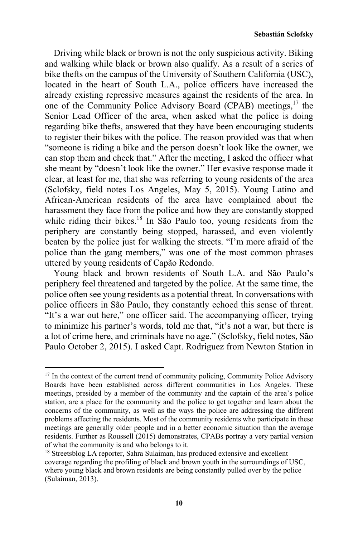Driving while black or brown is not the only suspicious activity. Biking and walking while black or brown also qualify. As a result of a series of bike thefts on the campus of the University of Southern California (USC), located in the heart of South L.A., police officers have increased the already existing repressive measures against the residents of the area. In one of the Community Police Advisory Board (CPAB) meetings, $17$  the Senior Lead Officer of the area, when asked what the police is doing regarding bike thefts, answered that they have been encouraging students to register their bikes with the police. The reason provided was that when "someone is riding a bike and the person doesn't look like the owner, we can stop them and check that." After the meeting, I asked the officer what she meant by "doesn't look like the owner." Her evasive response made it clear, at least for me, that she was referring to young residents of the area (Sclofsky, field notes Los Angeles, May 5, 2015). Young Latino and African-American residents of the area have complained about the harassment they face from the police and how they are constantly stopped while riding their bikes.<sup>18</sup> In São Paulo too, young residents from the periphery are constantly being stopped, harassed, and even violently beaten by the police just for walking the streets. "I'm more afraid of the police than the gang members," was one of the most common phrases uttered by young residents of Capão Redondo.

Young black and brown residents of South L.A. and São Paulo's periphery feel threatened and targeted by the police. At the same time, the police often see young residents as a potential threat. In conversations with police officers in São Paulo, they constantly echoed this sense of threat. "It's a war out here," one officer said. The accompanying officer, trying to minimize his partner's words, told me that, "it's not a war, but there is a lot of crime here, and criminals have no age." (Sclofsky, field notes, São Paulo October 2, 2015). I asked Capt. Rodriguez from Newton Station in

<sup>&</sup>lt;sup>17</sup> In the context of the current trend of community policing, Community Police Advisory Boards have been established across different communities in Los Angeles. These meetings, presided by a member of the community and the captain of the area's police station, are a place for the community and the police to get together and learn about the concerns of the community, as well as the ways the police are addressing the different problems affecting the residents. Most of the community residents who participate in these meetings are generally older people and in a better economic situation than the average residents. Further as Roussell (2015) demonstrates, CPABs portray a very partial version of what the community is and who belongs to it.

<sup>&</sup>lt;sup>18</sup> Streetsblog LA reporter, Sahra Sulaiman, has produced extensive and excellent coverage regarding the profiling of black and brown youth in the surroundings of USC, where young black and brown residents are being constantly pulled over by the police (Sulaiman, 2013).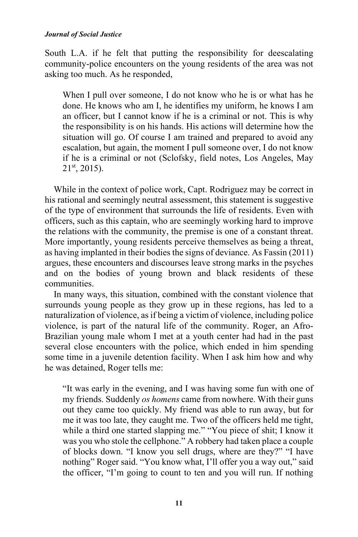South L.A. if he felt that putting the responsibility for deescalating community-police encounters on the young residents of the area was not asking too much. As he responded,

When I pull over someone, I do not know who he is or what has he done. He knows who am I, he identifies my uniform, he knows I am an officer, but I cannot know if he is a criminal or not. This is why the responsibility is on his hands. His actions will determine how the situation will go. Of course I am trained and prepared to avoid any escalation, but again, the moment I pull someone over, I do not know if he is a criminal or not (Sclofsky, field notes, Los Angeles, May  $21<sup>st</sup>$ , 2015).

While in the context of police work, Capt. Rodriguez may be correct in his rational and seemingly neutral assessment, this statement is suggestive of the type of environment that surrounds the life of residents. Even with officers, such as this captain, who are seemingly working hard to improve the relations with the community, the premise is one of a constant threat. More importantly, young residents perceive themselves as being a threat, as having implanted in their bodies the signs of deviance. As Fassin (2011) argues, these encounters and discourses leave strong marks in the psyches and on the bodies of young brown and black residents of these communities.

In many ways, this situation, combined with the constant violence that surrounds young people as they grow up in these regions, has led to a naturalization of violence, as if being a victim of violence, including police violence, is part of the natural life of the community. Roger, an Afro-Brazilian young male whom I met at a youth center had had in the past several close encounters with the police, which ended in him spending some time in a juvenile detention facility. When I ask him how and why he was detained, Roger tells me:

"It was early in the evening, and I was having some fun with one of my friends. Suddenly *os homens* came from nowhere. With their guns out they came too quickly. My friend was able to run away, but for me it was too late, they caught me. Two of the officers held me tight, while a third one started slapping me." "You piece of shit; I know it was you who stole the cellphone." A robbery had taken place a couple of blocks down. "I know you sell drugs, where are they?" "I have nothing" Roger said. "You know what, I'll offer you a way out," said the officer, "I'm going to count to ten and you will run. If nothing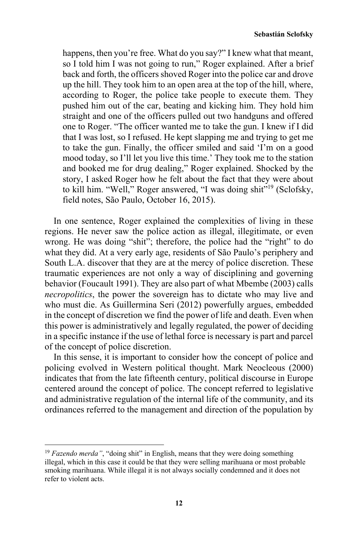happens, then you're free. What do you say?" I knew what that meant, so I told him I was not going to run," Roger explained. After a brief back and forth, the officers shoved Roger into the police car and drove up the hill. They took him to an open area at the top of the hill, where, according to Roger, the police take people to execute them. They pushed him out of the car, beating and kicking him. They hold him straight and one of the officers pulled out two handguns and offered one to Roger. "The officer wanted me to take the gun. I knew if I did that I was lost, so I refused. He kept slapping me and trying to get me to take the gun. Finally, the officer smiled and said 'I'm on a good mood today, so I'll let you live this time.' They took me to the station and booked me for drug dealing," Roger explained. Shocked by the story, I asked Roger how he felt about the fact that they were about to kill him. "Well," Roger answered, "I was doing shit"19 (Sclofsky, field notes, São Paulo, October 16, 2015).

In one sentence, Roger explained the complexities of living in these regions. He never saw the police action as illegal, illegitimate, or even wrong. He was doing "shit"; therefore, the police had the "right" to do what they did. At a very early age, residents of São Paulo's periphery and South L.A. discover that they are at the mercy of police discretion. These traumatic experiences are not only a way of disciplining and governing behavior (Foucault 1991). They are also part of what Mbembe (2003) calls *necropolitics*, the power the sovereign has to dictate who may live and who must die. As Guillermina Seri (2012) powerfully argues, embedded in the concept of discretion we find the power of life and death. Even when this power is administratively and legally regulated, the power of deciding in a specific instance if the use of lethal force is necessary is part and parcel of the concept of police discretion.

In this sense, it is important to consider how the concept of police and policing evolved in Western political thought. Mark Neocleous (2000) indicates that from the late fifteenth century, political discourse in Europe centered around the concept of police. The concept referred to legislative and administrative regulation of the internal life of the community, and its ordinances referred to the management and direction of the population by

<sup>&</sup>lt;sup>19</sup> *Fazendo merda*", "doing shit" in English, means that they were doing something illegal, which in this case it could be that they were selling marihuana or most probable smoking marihuana. While illegal it is not always socially condemned and it does not refer to violent acts.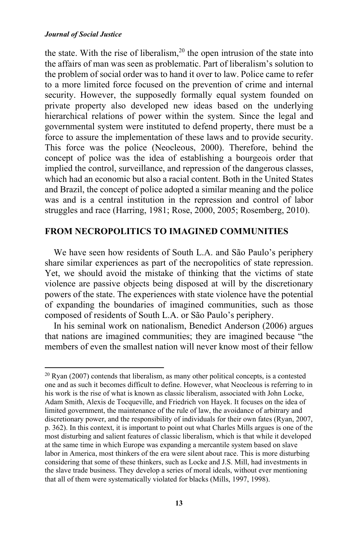the state. With the rise of liberalism,  $2<sup>0</sup>$  the open intrusion of the state into the affairs of man was seen as problematic. Part of liberalism's solution to the problem of social order was to hand it over to law. Police came to refer to a more limited force focused on the prevention of crime and internal security. However, the supposedly formally equal system founded on private property also developed new ideas based on the underlying hierarchical relations of power within the system. Since the legal and governmental system were instituted to defend property, there must be a force to assure the implementation of these laws and to provide security. This force was the police (Neocleous, 2000). Therefore, behind the concept of police was the idea of establishing a bourgeois order that implied the control, surveillance, and repression of the dangerous classes, which had an economic but also a racial content. Both in the United States and Brazil, the concept of police adopted a similar meaning and the police was and is a central institution in the repression and control of labor struggles and race (Harring, 1981; Rose, 2000, 2005; Rosemberg, 2010).

### **FROM NECROPOLITICS TO IMAGINED COMMUNITIES**

We have seen how residents of South L.A. and São Paulo's periphery share similar experiences as part of the necropolitics of state repression. Yet, we should avoid the mistake of thinking that the victims of state violence are passive objects being disposed at will by the discretionary powers of the state. The experiences with state violence have the potential of expanding the boundaries of imagined communities, such as those composed of residents of South L.A. or São Paulo's periphery.

In his seminal work on nationalism, Benedict Anderson (2006) argues that nations are imagined communities; they are imagined because "the members of even the smallest nation will never know most of their fellow

 $20$  Ryan (2007) contends that liberalism, as many other political concepts, is a contested one and as such it becomes difficult to define. However, what Neocleous is referring to in his work is the rise of what is known as classic liberalism, associated with John Locke, Adam Smith, Alexis de Tocqueville, and Friedrich von Hayek. It focuses on the idea of limited government, the maintenance of the rule of law, the avoidance of arbitrary and discretionary power, and the responsibility of individuals for their own fates (Ryan, 2007, p. 362). In this context, it is important to point out what Charles Mills argues is one of the most disturbing and salient features of classic liberalism, which is that while it developed at the same time in which Europe was expanding a mercantile system based on slave labor in America, most thinkers of the era were silent about race. This is more disturbing considering that some of these thinkers, such as Locke and J.S. Mill, had investments in the slave trade business. They develop a series of moral ideals, without ever mentioning that all of them were systematically violated for blacks (Mills, 1997, 1998).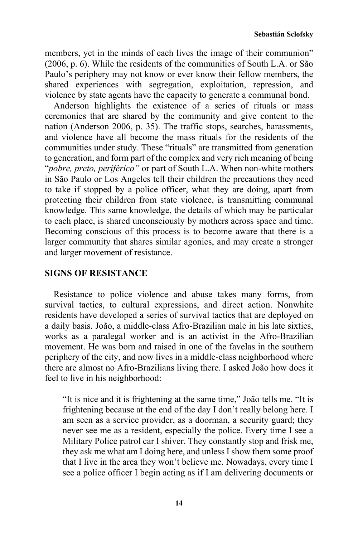members, yet in the minds of each lives the image of their communion" (2006, p. 6). While the residents of the communities of South L.A. or São Paulo's periphery may not know or ever know their fellow members, the shared experiences with segregation, exploitation, repression, and violence by state agents have the capacity to generate a communal bond.

Anderson highlights the existence of a series of rituals or mass ceremonies that are shared by the community and give content to the nation (Anderson 2006, p. 35). The traffic stops, searches, harassments, and violence have all become the mass rituals for the residents of the communities under study. These "rituals" are transmitted from generation to generation, and form part of the complex and very rich meaning of being "*pobre, preto, periférico"* or part of South L.A. When non-white mothers in São Paulo or Los Angeles tell their children the precautions they need to take if stopped by a police officer, what they are doing, apart from protecting their children from state violence, is transmitting communal knowledge. This same knowledge, the details of which may be particular to each place, is shared unconsciously by mothers across space and time. Becoming conscious of this process is to become aware that there is a larger community that shares similar agonies, and may create a stronger and larger movement of resistance.

# **SIGNS OF RESISTANCE**

Resistance to police violence and abuse takes many forms, from survival tactics, to cultural expressions, and direct action. Nonwhite residents have developed a series of survival tactics that are deployed on a daily basis. João, a middle-class Afro-Brazilian male in his late sixties, works as a paralegal worker and is an activist in the Afro-Brazilian movement. He was born and raised in one of the favelas in the southern periphery of the city, and now lives in a middle-class neighborhood where there are almost no Afro-Brazilians living there. I asked João how does it feel to live in his neighborhood:

"It is nice and it is frightening at the same time," João tells me. "It is frightening because at the end of the day I don't really belong here. I am seen as a service provider, as a doorman, a security guard; they never see me as a resident, especially the police. Every time I see a Military Police patrol car I shiver. They constantly stop and frisk me, they ask me what am I doing here, and unless I show them some proof that I live in the area they won't believe me. Nowadays, every time I see a police officer I begin acting as if I am delivering documents or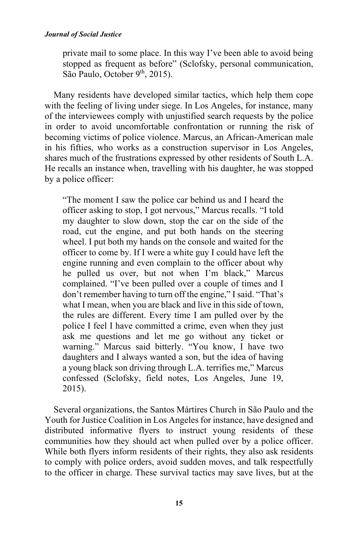private mail to some place. In this way I've been able to avoid being stopped as frequent as before" (Sclofsky, personal communication, São Paulo, October 9<sup>th</sup>, 2015).

Many residents have developed similar tactics, which help them cope with the feeling of living under siege. In Los Angeles, for instance, many of the interviewees comply with unjustified search requests by the police in order to avoid uncomfortable confrontation or running the risk of becoming victims of police violence. Marcus, an African-American male in his fifties, who works as a construction supervisor in Los Angeles, shares much of the frustrations expressed by other residents of South L.A. He recalls an instance when, travelling with his daughter, he was stopped by a police officer:

"The moment I saw the police car behind us and I heard the officer asking to stop, I got nervous," Marcus recalls. "I told my daughter to slow down, stop the car on the side of the road, cut the engine, and put both hands on the steering wheel. I put both my hands on the console and waited for the officer to come by. If I were a white guy I could have left the engine running and even complain to the officer about why he pulled us over, but not when I'm black," Marcus complained. "I've been pulled over a couple of times and I don't remember having to turn off the engine," I said. "That's what I mean, when you are black and live in this side of town, the rules are different. Every time I am pulled over by the police I feel I have committed a crime, even when they just ask me questions and let me go without any ticket or warning." Marcus said bitterly. "You know, I have two daughters and I always wanted a son, but the idea of having a young black son driving through L.A. terrifies me," Marcus confessed (Sclofsky, field notes, Los Angeles, June 19, 2015).

Several organizations, the Santos Mártires Church in São Paulo and the Youth for Justice Coalition in Los Angeles for instance, have designed and distributed informative flyers to instruct young residents of these communities how they should act when pulled over by a police officer. While both flyers inform residents of their rights, they also ask residents to comply with police orders, avoid sudden moves, and talk respectfully to the officer in charge. These survival tactics may save lives, but at the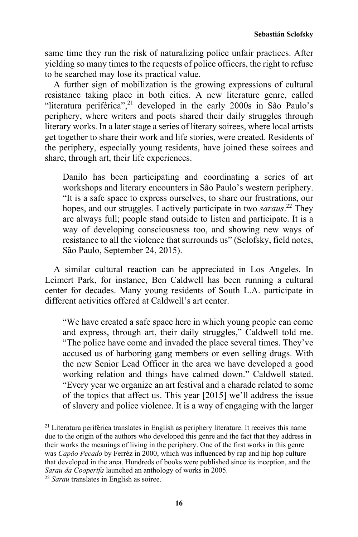**Sebastián Sclofsky** 

same time they run the risk of naturalizing police unfair practices. After yielding so many times to the requests of police officers, the right to refuse to be searched may lose its practical value.

A further sign of mobilization is the growing expressions of cultural resistance taking place in both cities. A new literature genre, called "literatura periférica",<sup>21</sup> developed in the early 2000s in São Paulo's periphery, where writers and poets shared their daily struggles through literary works. In a later stage a series of literary soirees, where local artists get together to share their work and life stories, were created. Residents of the periphery, especially young residents, have joined these soirees and share, through art, their life experiences.

Danilo has been participating and coordinating a series of art workshops and literary encounters in São Paulo's western periphery. "It is a safe space to express ourselves, to share our frustrations, our hopes, and our struggles. I actively participate in two *saraus*. 22 They are always full; people stand outside to listen and participate. It is a way of developing consciousness too, and showing new ways of resistance to all the violence that surrounds us" (Sclofsky, field notes, São Paulo, September 24, 2015).

A similar cultural reaction can be appreciated in Los Angeles. In Leimert Park, for instance, Ben Caldwell has been running a cultural center for decades. Many young residents of South L.A. participate in different activities offered at Caldwell's art center.

"We have created a safe space here in which young people can come and express, through art, their daily struggles," Caldwell told me. "The police have come and invaded the place several times. They've accused us of harboring gang members or even selling drugs. With the new Senior Lead Officer in the area we have developed a good working relation and things have calmed down." Caldwell stated. "Every year we organize an art festival and a charade related to some of the topics that affect us. This year [2015] we'll address the issue of slavery and police violence. It is a way of engaging with the larger

<sup>&</sup>lt;sup>21</sup> Literatura periférica translates in English as periphery literature. It receives this name due to the origin of the authors who developed this genre and the fact that they address in their works the meanings of living in the periphery. One of the first works in this genre was *Capão Pecado* by Ferréz in 2000, which was influenced by rap and hip hop culture that developed in the area. Hundreds of books were published since its inception, and the *Sarau da Cooperifa* launched an anthology of works in 2005. 22 *Sarau* translates in English as soiree.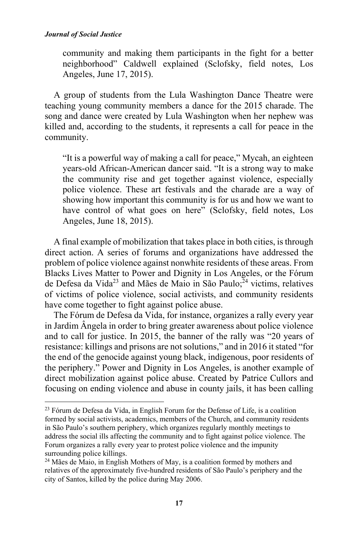community and making them participants in the fight for a better neighborhood" Caldwell explained (Sclofsky, field notes, Los Angeles, June 17, 2015).

A group of students from the Lula Washington Dance Theatre were teaching young community members a dance for the 2015 charade. The song and dance were created by Lula Washington when her nephew was killed and, according to the students, it represents a call for peace in the community.

"It is a powerful way of making a call for peace," Mycah, an eighteen years-old African-American dancer said. "It is a strong way to make the community rise and get together against violence, especially police violence. These art festivals and the charade are a way of showing how important this community is for us and how we want to have control of what goes on here" (Sclofsky, field notes, Los Angeles, June 18, 2015).

A final example of mobilization that takes place in both cities, is through direct action. A series of forums and organizations have addressed the problem of police violence against nonwhite residents of these areas. From Blacks Lives Matter to Power and Dignity in Los Angeles, or the Fórum de Defesa da Vida<sup>23</sup> and Mães de Maio in São Paulo;  $^{24}$  victims, relatives of victims of police violence, social activists, and community residents have come together to fight against police abuse.

The Fórum de Defesa da Vida, for instance, organizes a rally every year in Jardim Ângela in order to bring greater awareness about police violence and to call for justice. In 2015, the banner of the rally was "20 years of resistance: killings and prisons are not solutions," and in 2016 it stated "for the end of the genocide against young black, indigenous, poor residents of the periphery." Power and Dignity in Los Angeles, is another example of direct mobilization against police abuse. Created by Patrice Cullors and focusing on ending violence and abuse in county jails, it has been calling

<sup>23</sup> Fórum de Defesa da Vida, in English Forum for the Defense of Life, is a coalition formed by social activists, academics, members of the Church, and community residents in São Paulo's southern periphery, which organizes regularly monthly meetings to address the social ills affecting the community and to fight against police violence. The Forum organizes a rally every year to protest police violence and the impunity surrounding police killings.

<sup>&</sup>lt;sup>24</sup> Mães de Maio, in English Mothers of May, is a coalition formed by mothers and relatives of the approximately five-hundred residents of São Paulo's periphery and the city of Santos, killed by the police during May 2006.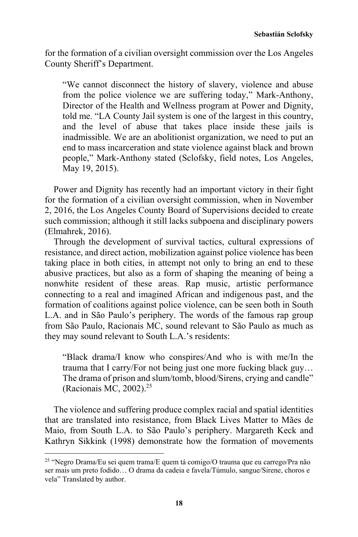for the formation of a civilian oversight commission over the Los Angeles County Sheriff's Department.

"We cannot disconnect the history of slavery, violence and abuse from the police violence we are suffering today," Mark-Anthony, Director of the Health and Wellness program at Power and Dignity, told me. "LA County Jail system is one of the largest in this country, and the level of abuse that takes place inside these jails is inadmissible. We are an abolitionist organization, we need to put an end to mass incarceration and state violence against black and brown people," Mark-Anthony stated (Sclofsky, field notes, Los Angeles, May 19, 2015).

Power and Dignity has recently had an important victory in their fight for the formation of a civilian oversight commission, when in November 2, 2016, the Los Angeles County Board of Supervisions decided to create such commission; although it still lacks subpoena and disciplinary powers (Elmahrek, 2016).

Through the development of survival tactics, cultural expressions of resistance, and direct action, mobilization against police violence has been taking place in both cities, in attempt not only to bring an end to these abusive practices, but also as a form of shaping the meaning of being a nonwhite resident of these areas. Rap music, artistic performance connecting to a real and imagined African and indigenous past, and the formation of coalitions against police violence, can be seen both in South L.A. and in São Paulo's periphery. The words of the famous rap group from São Paulo, Racionais MC, sound relevant to São Paulo as much as they may sound relevant to South L.A.'s residents:

"Black drama/I know who conspires/And who is with me/In the trauma that I carry/For not being just one more fucking black guy… The drama of prison and slum/tomb, blood/Sirens, crying and candle" (Racionais MC, 2002). $25$ 

The violence and suffering produce complex racial and spatial identities that are translated into resistance, from Black Lives Matter to Mães de Maio, from South L.A. to São Paulo's periphery. Margareth Keck and Kathryn Sikkink (1998) demonstrate how the formation of movements

<sup>25 &</sup>quot;Negro Drama/Eu sei quem trama/E quem tá comigo/O trauma que eu carrego/Pra não ser mais um preto fodido… O drama da cadeia e favela/Túmulo, sangue/Sirene, choros e vela" Translated by author.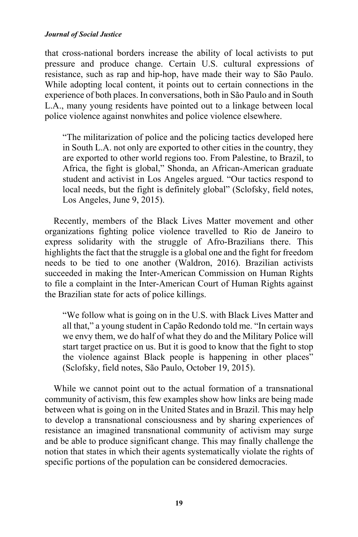that cross-national borders increase the ability of local activists to put pressure and produce change. Certain U.S. cultural expressions of resistance, such as rap and hip-hop, have made their way to São Paulo. While adopting local content, it points out to certain connections in the experience of both places. In conversations, both in São Paulo and in South L.A., many young residents have pointed out to a linkage between local police violence against nonwhites and police violence elsewhere.

"The militarization of police and the policing tactics developed here in South L.A. not only are exported to other cities in the country, they are exported to other world regions too. From Palestine, to Brazil, to Africa, the fight is global," Shonda, an African-American graduate student and activist in Los Angeles argued. "Our tactics respond to local needs, but the fight is definitely global" (Sclofsky, field notes, Los Angeles, June 9, 2015).

Recently, members of the Black Lives Matter movement and other organizations fighting police violence travelled to Rio de Janeiro to express solidarity with the struggle of Afro-Brazilians there. This highlights the fact that the struggle is a global one and the fight for freedom needs to be tied to one another (Waldron, 2016). Brazilian activists succeeded in making the Inter-American Commission on Human Rights to file a complaint in the Inter-American Court of Human Rights against the Brazilian state for acts of police killings.

"We follow what is going on in the U.S. with Black Lives Matter and all that," a young student in Capão Redondo told me. "In certain ways we envy them, we do half of what they do and the Military Police will start target practice on us. But it is good to know that the fight to stop the violence against Black people is happening in other places" (Sclofsky, field notes, São Paulo, October 19, 2015).

While we cannot point out to the actual formation of a transnational community of activism, this few examples show how links are being made between what is going on in the United States and in Brazil. This may help to develop a transnational consciousness and by sharing experiences of resistance an imagined transnational community of activism may surge and be able to produce significant change. This may finally challenge the notion that states in which their agents systematically violate the rights of specific portions of the population can be considered democracies.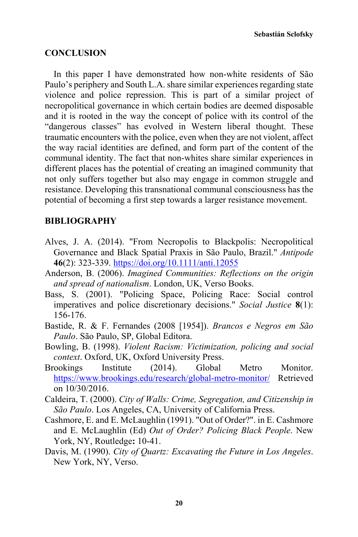### **CONCLUSION**

In this paper I have demonstrated how non-white residents of São Paulo's periphery and South L.A. share similar experiences regarding state violence and police repression. This is part of a similar project of necropolitical governance in which certain bodies are deemed disposable and it is rooted in the way the concept of police with its control of the "dangerous classes" has evolved in Western liberal thought. These traumatic encounters with the police, even when they are not violent, affect the way racial identities are defined, and form part of the content of the communal identity. The fact that non-whites share similar experiences in different places has the potential of creating an imagined community that not only suffers together but also may engage in common struggle and resistance. Developing this transnational communal consciousness has the potential of becoming a first step towards a larger resistance movement.

### **BIBLIOGRAPHY**

- Alves, J. A. (2014). "From Necropolis to Blackpolis: Necropolitical Governance and Black Spatial Praxis in São Paulo, Brazil." *Antipode* **46**(2): 323-339. https://doi.org/10.1111/anti.12055
- Anderson, B. (2006). *Imagined Communities: Reflections on the origin and spread of nationalism*. London, UK, Verso Books.
- Bass, S. (2001). "Policing Space, Policing Race: Social control imperatives and police discretionary decisions." *Social Justice* **8**(1): 156-176.
- Bastide, R. & F. Fernandes (2008 [1954]). *Brancos e Negros em São Paulo*. São Paulo, SP, Global Editora.
- Bowling, B. (1998). *Violent Racism: Victimization, policing and social context*. Oxford, UK, Oxford University Press.
- Brookings Institute (2014). Global Metro Monitor. https://www.brookings.edu/research/global-metro-monitor/ Retrieved on 10/30/2016.
- Caldeira, T. (2000). *City of Walls: Crime, Segregation, and Citizenship in São Paulo*. Los Angeles, CA, University of California Press.
- Cashmore, E. and E. McLaughlin (1991). "Out of Order?". in E. Cashmore and E. McLaughlin (Ed) *Out of Order? Policing Black People*. New York, NY, Routledge**:** 10-41.
- Davis, M. (1990). *City of Quartz: Excavating the Future in Los Angeles*. New York, NY, Verso.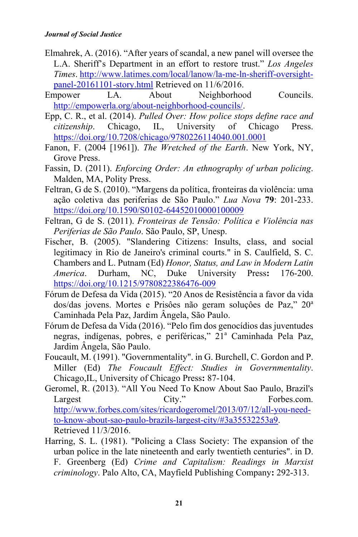- Elmahrek, A. (2016). "After years of scandal, a new panel will oversee the L.A. Sheriff's Department in an effort to restore trust." *Los Angeles Times*. http://www.latimes.com/local/lanow/la-me-ln-sheriff-oversightpanel-20161101-story.html Retrieved on 11/6/2016.
- Empower LA. About Neighborhood Councils. http://empowerla.org/about-neighborhood-councils/.
- Epp, C. R., et al. (2014). *Pulled Over: How police stops define race and citizenship*. Chicago, IL, University of Chicago Press. https://doi.org/10.7208/chicago/9780226114040.001.0001
- Fanon, F. (2004 [1961]). *The Wretched of the Earth*. New York, NY, Grove Press.
- Fassin, D. (2011). *Enforcing Order: An ethnography of urban policing*. Malden, MA, Polity Press.
- Feltran, G de S. (2010). "Margens da política, fronteiras da violência: uma ação coletiva das periferias de São Paulo." *Lua Nova* **79**: 201-233. https://doi.org/10.1590/S0102-64452010000100009
- Feltran, G de S. (2011). *Fronteiras de Tensão: Política e Violência nas Periferias de São Paulo*. São Paulo, SP, Unesp.
- Fischer, B. (2005). "Slandering Citizens: Insults, class, and social legitimacy in Rio de Janeiro's criminal courts." in S. Caulfield, S. C. Chambers and L. Putnam (Ed) *Honor, Status, and Law in Modern Latin America*. Durham, NC, Duke University Press**:** 176-200. https://doi.org/10.1215/9780822386476-009
- Fórum de Defesa da Vida (2015). "20 Anos de Resistência a favor da vida dos/das jovens. Mortes e Prisões não geram soluções de Paz," 20<sup>a</sup> Caminhada Pela Paz, Jardim Ângela, São Paulo.
- Fórum de Defesa da Vida (2016). "Pelo fim dos genocídios das juventudes negras, indígenas, pobres, e periféricas," 21ª Caminhada Pela Paz, Jardim Ângela, São Paulo.
- Foucault, M. (1991). "Governmentality". in G. Burchell, C. Gordon and P. Miller (Ed) *The Foucault Effect: Studies in Governmentality*. Chicago,IL, University of Chicago Press**:** 87-104.
- Geromel, R. (2013). "All You Need To Know About Sao Paulo, Brazil's Largest City." Forbes.com. http://www.forbes.com/sites/ricardogeromel/2013/07/12/all-you-needto-know-about-sao-paulo-brazils-largest-city/#3a35532253a9. Retrieved 11/3/2016.
- Harring, S. L. (1981). "Policing a Class Society: The expansion of the urban police in the late nineteenth and early twentieth centuries". in D. F. Greenberg (Ed) *Crime and Capitalism: Readings in Marxist criminology*. Palo Alto, CA, Mayfield Publishing Company**:** 292-313.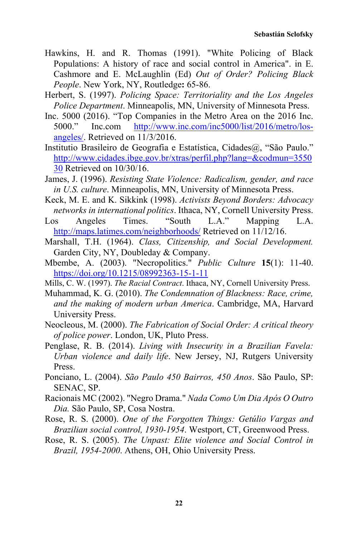- Hawkins, H. and R. Thomas (1991). "White Policing of Black Populations: A history of race and social control in America". in E. Cashmore and E. McLaughlin (Ed) *Out of Order? Policing Black People*. New York, NY, Routledge**:** 65-86.
- Herbert, S. (1997). *Policing Space: Territoriality and the Los Angeles Police Department*. Minneapolis, MN, University of Minnesota Press.
- Inc. 5000 (2016). "Top Companies in the Metro Area on the 2016 Inc. 5000." Inc.com http://www.inc.com/inc5000/list/2016/metro/losangeles/. Retrieved on 11/3/2016.
- Institutio Brasileiro de Geografia e Estatística, Cidades@, "São Paulo." http://www.cidades.ibge.gov.br/xtras/perfil.php?lang=&codmun=3550 30 Retrieved on 10/30/16.
- James, J. (1996). *Resisting State Violence: Radicalism, gender, and race in U.S. culture*. Minneapolis, MN, University of Minnesota Press.
- Keck, M. E. and K. Sikkink (1998). *Activists Beyond Borders: Advocacy networks in international politics*. Ithaca, NY, Cornell University Press.
- Los Angeles Times. "South L.A." Mapping L.A. http://maps.latimes.com/neighborhoods/ Retrieved on 11/12/16.
- Marshall, T.H. (1964). *Class, Citizenship, and Social Development.* Garden City, NY, Doubleday & Company.
- Mbembe, A. (2003). "Necropolitics." *Public Culture* **15**(1): 11-40. https://doi.org/10.1215/08992363-15-1-11
- Mills, C. W. (1997). *The Racial Contract*. Ithaca, NY, Cornell University Press.
- Muhammad, K. G. (2010). *The Condemnation of Blackness: Race, crime, and the making of modern urban America*. Cambridge, MA, Harvard University Press.
- Neocleous, M. (2000). *The Fabrication of Social Order: A critical theory of police power*. London, UK, Pluto Press.
- Penglase, R. B. (2014). *Living with Insecurity in a Brazilian Favela: Urban violence and daily life*. New Jersey, NJ, Rutgers University Press.
- Ponciano, L. (2004). *São Paulo 450 Bairros, 450 Anos*. São Paulo, SP: SENAC, SP.
- Racionais MC (2002). "Negro Drama." *Nada Como Um Dia Após O Outro Dia.* São Paulo, SP, Cosa Nostra.
- Rose, R. S. (2000). *One of the Forgotten Things: Getúlio Vargas and Brazilian social control, 1930-1954*. Westport, CT, Greenwood Press.
- Rose, R. S. (2005). *The Unpast: Elite violence and Social Control in Brazil, 1954-2000*. Athens, OH, Ohio University Press.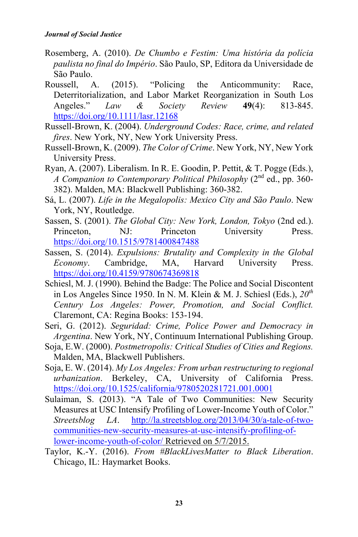- Rosemberg, A. (2010). *De Chumbo e Festim: Uma história da polícia paulista no final do Império*. São Paulo, SP, Editora da Universidade de São Paulo.
- Roussell, A. (2015). "Policing the Anticommunity: Race, Deterritorialization, and Labor Market Reorganization in South Los Angeles." *Law & Society Review* **49**(4): 813-845. https://doi.org/10.1111/lasr.12168
- Russell-Brown, K. (2004). *Underground Codes: Race, crime, and related fires*. New York, NY, New York University Press.
- Russell-Brown, K. (2009). *The Color of Crime*. New York, NY, New York University Press.
- Ryan, A. (2007). Liberalism. In R. E. Goodin, P. Pettit, & T. Pogge (Eds.), *A Companion to Contemporary Political Philosophy* (2nd ed., pp. 360- 382). Malden, MA: Blackwell Publishing: 360-382.
- Sá, L. (2007). *Life in the Megalopolis: Mexico City and São Paulo*. New York, NY, Routledge.
- Sassen, S. (2001). *The Global City: New York, London, Tokyo* (2nd ed.). Princeton, NJ: Princeton University Press. https://doi.org/10.1515/9781400847488
- Sassen, S. (2014). *Expulsions: Brutality and Complexity in the Global Economy*. Cambridge, MA, Harvard University Press. https://doi.org/10.4159/9780674369818
- Schiesl, M. J. (1990). Behind the Badge: The Police and Social Discontent in Los Angeles Since 1950. In N. M. Klein & M. J. Schiesl (Eds.), *20th Century Los Angeles: Power, Promotion, and Social Conflict.* Claremont, CA: Regina Books: 153-194.
- Seri, G. (2012). *Seguridad: Crime, Police Power and Democracy in Argentina*. New York, NY, Continuum International Publishing Group.
- Soja, E.W. (2000). *Postmetropolis: Critical Studies of Cities and Regions.* Malden, MA, Blackwell Publishers.
- Soja, E. W. (2014). *My Los Angeles: From urban restructuring to regional urbanization*. Berkeley, CA, University of California Press. https://doi.org/10.1525/california/9780520281721.001.0001
- Sulaiman, S. (2013). "A Tale of Two Communities: New Security Measures at USC Intensify Profiling of Lower-Income Youth of Color." *Streetsblog LA*. http://la.streetsblog.org/2013/04/30/a-tale-of-twocommunities-new-security-measures-at-usc-intensify-profiling-oflower-income-youth-of-color/ Retrieved on 5/7/2015.
- Taylor, K.-Y. (2016). *From #BlackLivesMatter to Black Liberation*. Chicago, IL: Haymarket Books.